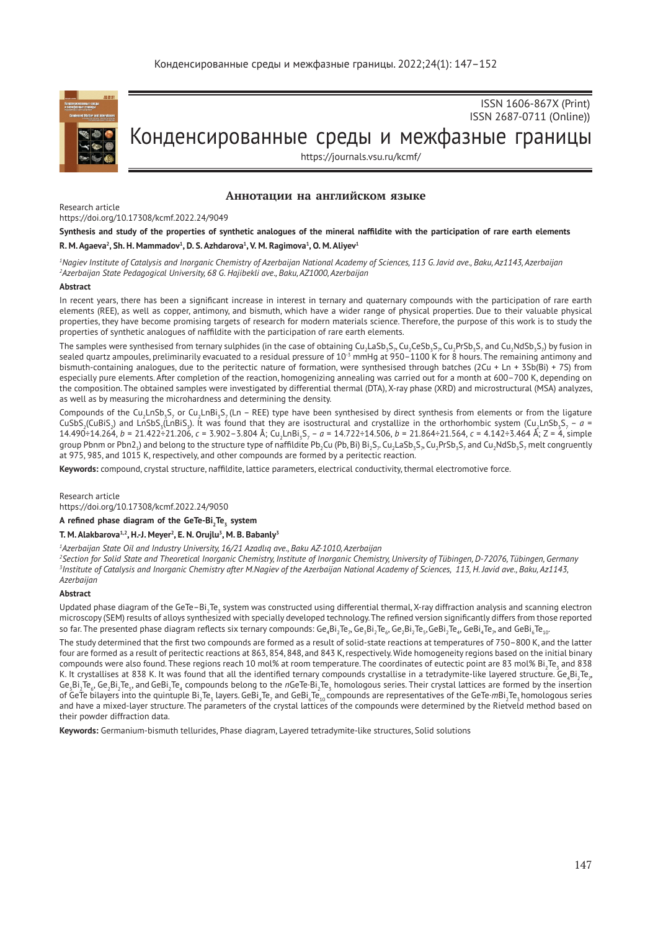

ISSN 1606-867Х (Print) ISSN 2687-0711 (Online))

# Конденсированные среды и межфазные границы

https://journals.vsu.ru/kcmf/

## **Аннотации на английском языке**

Research article

https://doi.org/10.17308/kcmf.2022.24/9049

## **Synthesis and study of the properties of synthetic analogues of the mineral naffildite with the participation of rare earth elements R. M. Agaeva<sup>2</sup>, Sh. H. Mammadov<sup>1</sup>, D. S. Azhdarova<sup>1</sup>, V. M. Ragimova<sup>1</sup>, O. M. Aliyev<sup>1</sup>**

*1 Nagiev Institute of Catalysis and Inorganic Chemistry of Azerbaijan National Academy of Sciences, 113 G. Javid ave., Baku, Az1143, Azerbaijan 2 Azerbaijan State Pedagogical University, 68 G. Hajibekli ave., Baku, AZ1000, Azerbaijan*

## **Abstract**

In recent years, there has been a significant increase in interest in ternary and quaternary compounds with the participation of rare earth elements (REE), as well as copper, antimony, and bismuth, which have a wider range of physical properties. Due to their valuable physical properties, they have become promising targets of research for modern materials science. Therefore, the purpose of this work is to study the properties of synthetic analogues of naffildite with the participation of rare earth elements.

The samples were synthesised from ternary sulphides (in the case of obtaining Cu<sub>2</sub>LaSb<sub>3</sub>S,  ${}_\lambda$ Cu<sub>2</sub>CeSb<sub>3</sub>S,,  ${}_\lambda$ Cu<sub>2</sub>PrSb<sub>3</sub>S, and Cu<sub>2</sub>NdSb<sub>3</sub>S,) by fusion in sealed quartz ampoules, preliminarily evacuated to a residual pressure of 10<sup>-3</sup> mmHg at 950–1100 K for 8 hours. The remaining antimony and bismuth-containing analogues, due to the peritectic nature of formation, were synthesised through batches  $(2Cu + Ln + 3Sb(Bi) + 7S)$  from especially pure elements. After completion of the reaction, homogenizing annealing was carried out for a month at 600–700 K, depending on the composition. The obtained samples were investigated by differential thermal (DTA), X-ray phase (XRD) and microstructural (MSA) analyzes, as well as by measuring the microhardness and determining the density.

Compounds of the Cu<sub>2</sub>LnSb<sub>3</sub>S, or Cu<sub>2</sub>LnBi<sub>3</sub>S<sub>7</sub> (Ln – REE) type have been synthesised by direct synthesis from elements or from the ligature CuSbS<sub>2</sub>(CuBiS<sub>2</sub>) and LnSbS<sub>3</sub>(LnBiS<sub>3</sub>). It was found that they are isostructural and crystallize in the orthorhombic system (Cu<sub>2</sub>LnSb<sub>3</sub>S<sub>7</sub> – *a* = 14.490÷14.264, *b* = 21.422÷21.206, *c* = 3.902–3.804 Å; Cu<sub>2</sub>LnBi<sub>s</sub>S<sub>7</sub> – *a* = 14.722÷14.506, *b* = 21.864÷21.564, *c* = 4.142÷3.464 Å; Z = 4, simple group Pbnm or Pbn2<sub>1</sub>) and belong to the structure type of naffildite Pb<sub>2</sub>Cu (Pb, Bi) Bi<sub>2</sub>S<sub>7</sub>. Cu<sub>2</sub>LaSb<sub>3</sub>S<sub>7</sub>, Cu<sub>2</sub>PrSb<sub>3</sub>S<sub>7</sub> and Cu<sub>2</sub>NdSb<sub>3</sub>S<sub>7</sub> melt congruently at 975, 985, and 1015 K, respectively, and other compounds are formed by a peritectic reaction.

**Keywords:** compound, crystal structure, naffildite, lattice parameters, electrical conductivity, thermal electromotive force.

Research article

https://doi.org/10.17308/kcmf.2022.24/9050

**A refined phase diagram of the GeTe-Bi<sup>2</sup> Te<sup>3</sup> system** 

## **T. M. Alakbarova1,2, H.-J. Meyer<sup>2</sup> , E. N. Orujlu3 , M. B. Babanly<sup>3</sup>**

*1 Azerbaijan State Oil and Industry University, 16/21 Azadlıq ave., Baku AZ-1010, Azerbaijan*

*2 Section for Solid State and Theoretical Inorganic Chemistry, Institute of Inorganic Chemistry, University of Tübingen, D-72076, Tübingen, Germany 3 Institute of Catalysis and Inorganic Chemistry after M.Nagiev of the Azerbaijan National Academy of Sciences, 113, H. Javid ave., Baku, Az1143, Azerbaijan*

#### **Abstract**

Updated phase diagram of the GeTe–Bi<sub>2</sub>Te<sub>s</sub> system was constructed using differential thermal, X-ray diffraction analysis and scanning electron microscopy (SEM) results of alloys synthesized with specially developed technology. The refined version significantly differs from those reported so far. The presented phase diagram reflects six ternary compounds: Ge $_*B$ i $_7$ Te $_{\rm p}$  Ge $_8$ Bi $_2$ Te $_{\rm s}$ G $_6$ G $_8$ Bi $_7$ Te $_{\rm s}$ , GeBi $_4$ Te $_{\rm p}$  and GeBi $_6$ Te $_{\rm 10}$ 

The study determined that the first two compounds are formed as a result of solid-state reactions at temperatures of 750–800 K, and the latter four are formed as a result of peritectic reactions at 863, 854, 848, and 843 K, respectively. Wide homogeneity regions based on the initial binary compounds were also found. These regions reach 10 mol% at room temperature. The coordinates of eutectic point are 83 mol% Bi $_2$ Te $_{\rm s}$  and 838 K. It crystallises at 838 K. It was found that all the identified ternary compounds crystallise in a tetradymite-like layered structure. Ge $_4$ Bi $_2$ Te $_{\rm \scriptscriptstyle p}$ Ge<sub>3</sub>Bi<sub>2</sub>Te<sub>6</sub>, Ge<sub>2</sub>Bi<sub>2</sub>Te<sub>s</sub>, and GeBi<sub>2</sub>Te<sub>4</sub> compounds belong to the *n*GeTe·Bi<sub>2</sub>Te<sub>3</sub> homologous series. Their crystal lattices are formed by the insertion of GeTe bilayers into the quintuple Bi<sub>2</sub>Te<sub>3</sub> layers. GeBi<sub>4</sub>Te<sub>7</sub> and GeBi<sub>6</sub>Te<sub>10</sub> compounds are representatives of the GeTe·*m*Bi<sub>2</sub>Te<sub>3</sub> homologous series and have a mixed-layer structure. The parameters of the crystal lattices of the compounds were determined by the Rietveld method based on their powder diffraction data.

**Keywords:** Germanium-bismuth tellurides, Phase diagram, Layered tetradymite-like structures, Solid solutions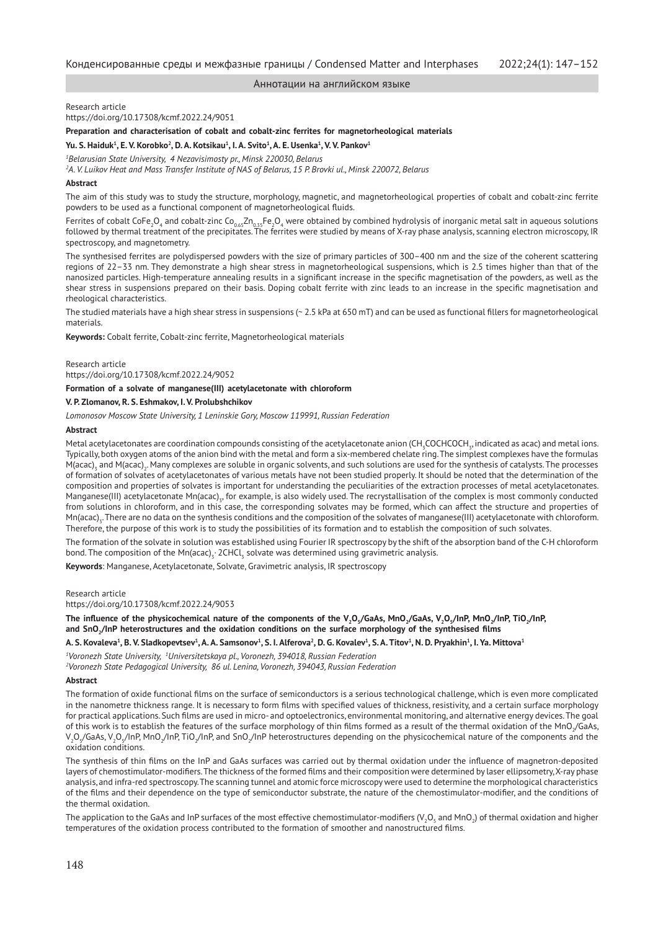Research article

https://doi.org/10.17308/kcmf.2022.24/9051

**Preparation and characterisation of cobalt and cobalt-zinc ferrites for magnetorheological materials Yu. S. Haiduk<sup>1</sup> , E. V. Korobko<sup>2</sup> , D. A. Kotsikau<sup>1</sup> , I. A. Svito1 , A. E. Usenka<sup>1</sup> , V. V. Pankov<sup>1</sup>**

*1 Belarusian State University, 4 Nezavisimosty pr., Minsk 220030, Belarus* 

*2 A. V. Luikov Heat and Mass Transfer Institute of NAS of Belarus, 15 P. Brovki ul., Minsk 220072, Belarus* 

#### **Abstract**

The aim of this study was to study the structure, morphology, magnetic, and magnetorheological properties of cobalt and cobalt-zinc ferrite powders to be used as a functional component of magnetorheological fluids.

Ferrites of cobalt CoFe<sub>2</sub>O<sub>4</sub> and cobalt-zinc Co<sub>0.65</sub>Zn<sub>0.35</sub>Fe<sub>2</sub>O<sub>4</sub> were obtained by combined hydrolysis of inorganic metal salt in aqueous solutions followed by thermal treatment of the precipitates. The ferrites were studied by means of X-ray phase analysis, scanning electron microscopy, IR spectroscopy, and magnetometry.

The synthesised ferrites are polydispersed powders with the size of primary particles of 300–400 nm and the size of the coherent scattering regions of 22–33 nm. They demonstrate a high shear stress in magnetorheological suspensions, which is 2.5 times higher than that of the nanosized particles. High-temperature annealing results in a significant increase in the specific magnetisation of the powders, as well as the shear stress in suspensions prepared on their basis. Doping cobalt ferrite with zinc leads to an increase in the specific magnetisation and rheological characteristics.

The studied materials have a high shear stress in suspensions (~ 2.5 kPa at 650 mT) and can be used as functional fillers for magnetorheological materials.

**Keywords:** Cobalt ferrite, Cobalt-zinc ferrite, Magnetorheological materials

Research article

https://doi.org/10.17308/kcmf.2022.24/9052

## **Formation of a solvate of manganese(III) acetylacetonate with chloroform**

#### **V. P. Zlomanov, R. S. Eshmakov, I. V. Prolubshchikov**

*Lomonosov Moscow State University, 1 Leninskie Gory, Moscow 119991, Russian Federation*

## **Abstract**

Metal acetylacetonates are coordination compounds consisting of the acetylacetonate anion (CH<sub>3</sub>COCHCOCH<sub>3</sub>, indicated as acac) and metal ions. Typically, both oxygen atoms of the anion bind with the metal and form a six-membered chelate ring. The simplest complexes have the formulas M(acac)<sub>3</sub> and M(acac)<sub>2</sub>. Many complexes are soluble in organic solvents, and such solutions are used for the synthesis of catalysts. The processes of formation of solvates of acetylacetonates of various metals have not been studied properly. It should be noted that the determination of the composition and properties of solvates is important for understanding the peculiarities of the extraction processes of metal acetylacetonates. Manganese(III) acetylacetonate Mn(acac)<sub>3</sub>, for example, is also widely used. The recrystallisation of the complex is most commonly conducted from solutions in chloroform, and in this case, the corresponding solvates may be formed, which can affect the structure and properties of Mn(acac)<sub>3</sub>. There are no data on the synthesis conditions and the composition of the solvates of manganese(III) acetylacetonate with chloroform. Therefore, the purpose of this work is to study the possibilities of its formation and to establish the composition of such solvates.

The formation of the solvate in solution was established using Fourier IR spectroscopy by the shift of the absorption band of the C-H chloroform bond. The composition of the Mn(acac) $_3\cdot$  2CHCl $_3$  solvate was determined using gravimetric analysis.

**Keywords**: Manganese, Acetylacetonate, Solvate, Gravimetric analysis, IR spectroscopy

Research article

https://doi.org/10.17308/kcmf.2022.24/9053

**The influence of the physicochemical nature of the components of the V<sup>2</sup> O5 /GaAs, MnO<sup>2</sup> /GaAs, V<sup>2</sup> O5 /InP, MnO2 /InP, TiO<sup>2</sup> /InP, and SnO2 /InP heterostructures and the oxidation conditions on the surface morphology of the synthesised films**

A. S. Kovaleva<sup>1</sup>, B. V. Sladkopevtsev<sup>1</sup>, A. A. Samsonov<sup>1</sup>, S. I. Alferova<sup>2</sup>, D. G. Kovalev<sup>1</sup>, S. A. Titov<sup>1</sup>, N. D. Pryakhin<sup>1</sup>, I. Ya. Mittova<sup>1</sup>

*1 Voronezh State University, 1 Universitetskaya pl., Voronezh, 394018, Russian Federation 2 Voronezh State Pedagogical University, 86 ul. Lenina, Voronezh, 394043, Russian Federation*

#### **Abstract**

The formation of oxide functional films on the surface of semiconductors is a serious technological challenge, which is even more complicated in the nanometre thickness range. It is necessary to form films with specified values of thickness, resistivity, and a certain surface morphology for practical applications. Such films are used in micro- and optoelectronics, environmental monitoring, and alternative energy devices. The goal of this work is to establish the features of the surface morphology of thin films formed as a result of the thermal oxidation of the MnO<sub>2</sub>/GaAs, V<sub>2</sub>O<sub>5</sub>/GaAs, V<sub>2</sub>O<sub>5</sub>/InP, MnO<sub>2</sub>/InP, TiO<sub>2</sub>/InP, and SnO<sub>2</sub>/InP heterostructures depending on the physicochemical nature of the components and the oxidation conditions.

The synthesis of thin films on the InP and GaAs surfaces was carried out by thermal oxidation under the influence of magnetron-deposited layers of chemostimulator-modifiers. The thickness of the formed films and their composition were determined by laser ellipsometry, X-ray phase analysis, and infra-red spectroscopy. The scanning tunnel and atomic force microscopy were used to determine the morphological characteristics of the films and their dependence on the type of semiconductor substrate, the nature of the chemostimulator-modifier, and the conditions of the thermal oxidation.

The application to the GaAs and InP surfaces of the most effective chemostimulator-modifiers (V<sub>2</sub>O<sub>s</sub> and MnO<sub>2</sub>) of thermal oxidation and higher temperatures of the oxidation process contributed to the formation of smoother and nanostructured films.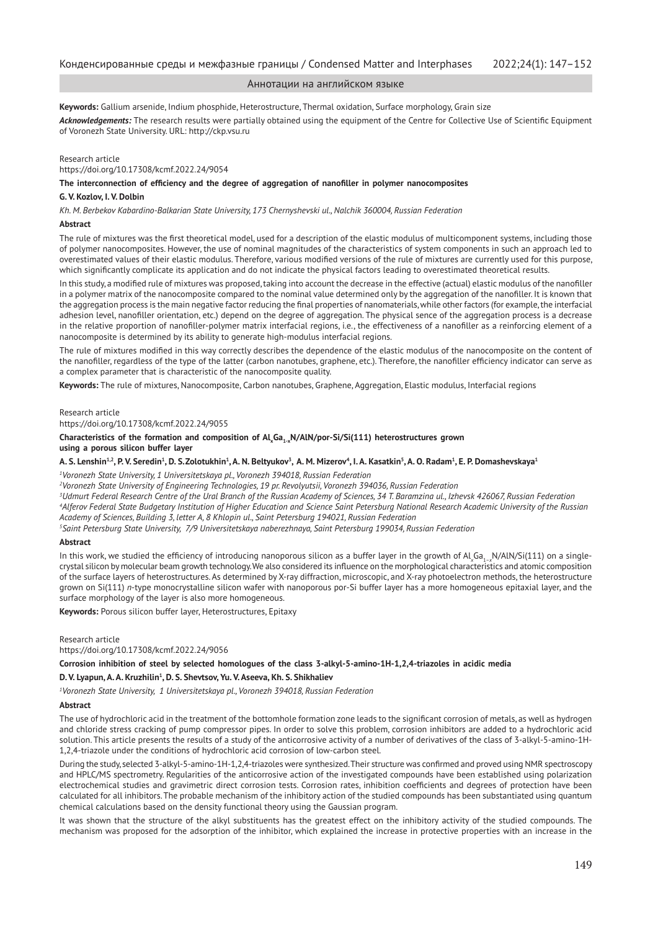**Keywords:** Gallium arsenide, Indium phosphide, Heterostructure, Thermal oxidation, Surface morphology, Grain size

*Acknowledgements:* The research results were partially obtained using the equipment of the Centre for Collective Use of Scientific Equipment of Voronezh State University. URL: http://ckp.vsu.ru

#### Research article

https://doi.org/10.17308/kcmf.2022.24/9054

**The interconnection of efficiency and the degree of aggregation of nanofiller in polymer nanocomposites**

#### **G. V. Kozlov, I. V. Dolbin**

*Kh. M. Berbekov Kabardino-Balkarian State University, 173 Chernyshevski ul., Nalchik 360004, Russian Federation*

#### **Abstract**

The rule of mixtures was the first theoretical model, used for a description of the elastic modulus of multicomponent systems, including those of polymer nanocomposites. However, the use of nominal magnitudes of the characteristics of system components in such an approach led to overestimated values of their elastic modulus. Therefore, various modified versions of the rule of mixtures are currently used for this purpose, which significantly complicate its application and do not indicate the physical factors leading to overestimated theoretical results.

In this study, a modified rule of mixtures was proposed, taking into account the decrease in the effective (actual) elastic modulus of the nanofiller in a polymer matrix of the nanocomposite compared to the nominal value determined only by the aggregation of the nanofiller. It is known that the aggregation process is the main negative factor reducing the final properties of nanomaterials, while other factors (for example, the interfacial adhesion level, nanofiller orientation, etc.) depend on the degree of aggregation. The physical sence of the aggregation process is a decrease in the relative proportion of nanofiller-polymer matrix interfacial regions, i.e., the effectiveness of a nanofiller as a reinforcing element of a nanocomposite is determined by its ability to generate high-modulus interfacial regions.

The rule of mixtures modified in this way correctly describes the dependence of the elastic modulus of the nanocomposite on the content of the nanofiller, regardless of the type of the latter (carbon nanotubes, graphene, etc.). Therefore, the nanofiller efficiency indicator can serve as a complex parameter that is characteristic of the nanocomposite quality.

**Keywords:** The rule of mixtures, Nanocomposite, Carbon nanotubes, Graphene, Aggregation, Elastic modulus, Interfacial regions

#### Research article

https://doi.org/10.17308/kcmf.2022.24/9055

#### Characteristics of the formation and composition of Al<sub>x</sub>Ga<sub>1-x</sub>N/AlN/por-Si/Si(111) heterostructures grown **using a porous silicon buffer layer**

#### A. S. Lenshin½, P. V. Seredin½, D. S.Zolotukhin½, A. N. Beltyukov¾, A. M. Mizerov﴾, I. A. Kasatkin½, A. O. Radam½, E. P. Domashevskaya½

*1 Voronezh State University, 1 Universitetskaya pl., Voronezh 394018, Russian Federation*

*2 Voronezh State University of Engineering Technologies, 19 pr. Revolyutsii, Voronezh 394036, Russian Federation*

*3 Udmurt Federal Research Centre of the Ural Branch of the Russian Academy of Sciences, 34 T. Baramzina ul., Izhevsk 426067, Russian Federation*

*4 Alferov Federal State Budgetary Institution of Higher Education and Science Saint Petersburg National Research Academic University of the Russian Academy of Sciences, Building 3, letter A, 8 Khlopin ul., Saint Petersburg 194021, Russian Federation*

*5 Saint Petersburg State University, 7/9 Universitetskaya naberezhnaya, Saint Petersburg 199034, Russian Federation*

#### **Abstract**

In this work, we studied the efficiency of introducing nanoporous silicon as a buffer layer in the growth of Al<sub>x</sub>Ga<sub>1–x</sub>N/AlN/Si(111) on a singlecrystal silicon by molecular beam growth technology. We also considered its influence on the morphological characteristics and atomic composition of the surface layers of heterostructures. As determined by X-ray diffraction, microscopic, and X-ray photoelectron methods, the heterostructure grown on Si(111) *n*-type monocrystalline silicon wafer with nanoporous por-Si buffer layer has a more homogeneous epitaxial layer, and the surface morphology of the layer is also more homogeneous.

**Keywords:** Porous silicon buffer layer, Heterostructures, Epitaxy

#### Research article

https://doi.org/10.17308/kcmf.2022.24/9056

**Corrosion inhibition of steel by selected homologues of the class 3-alkyl-5-amino-1H-1,2,4-triazoles in acidic media**

#### D. V. Lyapun, A. A. Kruzhilin<sup>1</sup>, D. S. Shevtsov, Yu. V. Aseeva, Kh. S. Shikhaliev

*1 Voronezh State University, 1 Universitetskaya pl., Voronezh 394018, Russian Federation*

#### **Abstract**

The use of hydrochloric acid in the treatment of the bottomhole formation zone leads to the significant corrosion of metals, as well as hydrogen and chloride stress cracking of pump compressor pipes. In order to solve this problem, corrosion inhibitors are added to a hydrochloric acid solution. This article presents the results of a study of the anticorrosive activity of a number of derivatives of the class of 3-alkyl-5-amino-1H-1,2,4-triazole under the conditions of hydrochloric acid corrosion of low-carbon steel.

During the study, selected 3-alkyl-5-amino-1H-1,2,4-triazoles were synthesized. Their structure was confirmed and proved using NMR spectroscopy and HPLC/MS spectrometry. Regularities of the anticorrosive action of the investigated compounds have been established using polarization electrochemical studies and gravimetric direct corrosion tests. Corrosion rates, inhibition coefficients and degrees of protection have been calculated for all inhibitors. The probable mechanism of the inhibitory action of the studied compounds has been substantiated using quantum chemical calculations based on the density functional theory using the Gaussian program.

It was shown that the structure of the alkyl substituents has the greatest effect on the inhibitory activity of the studied compounds. The mechanism was proposed for the adsorption of the inhibitor, which explained the increase in protective properties with an increase in the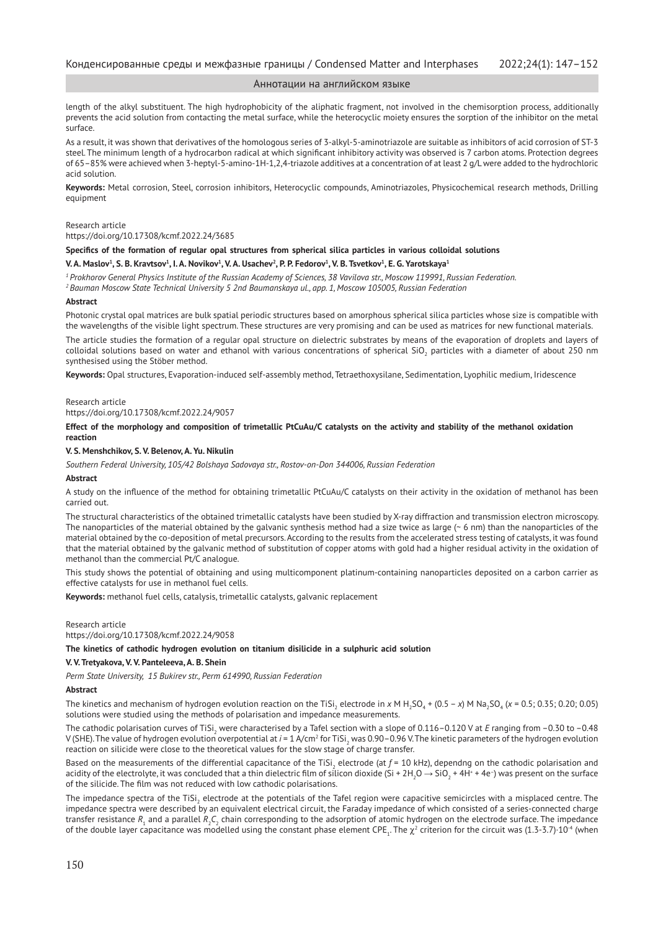length of the alkyl substituent. The high hydrophobicity of the aliphatic fragment, not involved in the chemisorption process, additionally prevents the acid solution from contacting the metal surface, while the heterocyclic moiety ensures the sorption of the inhibitor on the metal surface.

As a result, it was shown that derivatives of the homologous series of 3-alkyl-5-aminotriazole are suitable as inhibitors of acid corrosion of ST-3 steel. The minimum length of a hydrocarbon radical at which significant inhibitory activity was observed is 7 carbon atoms. Protection degrees of 65–85% were achieved when 3-heptyl-5-amino-1H-1,2,4-triazole additives at a concentration of at least 2 g/L were added to the hydrochloric acid solution.

**Keywords:** Metal corrosion, Steel, corrosion inhibitors, Heterocyclic compounds, Aminotriazoles, Physicochemical research methods, Drilling equipment

#### Research article

## https://doi.org/10.17308/kcmf.2022.24/3685

## **Specifics of the formation of regular opal structures from spherical silica particles in various colloidal solutions**

#### $\bf V$ . A. Maslov $^1$ , S. B. Kravtsov $^1$ , I. A. Novikov $^1$ , V. A. Usachev $^2$ , P. P. Fedorov $^1$ , V. B. Tsvetkov $^1$ , E. G. Yarotskaya $^4$

*1 Prokhorov General Physics Institute of the Russian Academy of Sciences, 38 Vavilova str., Moscow 119991, Russian Federation.*

*<sup>2</sup>Bauman Moscow State Technical University 5 2nd Baumanskaya ul., app. 1, Moscow 105005, Russian Federation*

#### **Abstract**

Photonic crystal opal matrices are bulk spatial periodic structures based on amorphous spherical silica particles whose size is compatible with the wavelengths of the visible light spectrum. These structures are very promising and can be used as matrices for new functional materials. The article studies the formation of a regular opal structure on dielectric substrates by means of the evaporation of droplets and layers of colloidal solutions based on water and ethanol with various concentrations of spherical  $\rm SiO_2$  particles with a diameter of about 250 nm synthesised using the Stöber method.

**Keywords:** Opal structures, Evaporation-induced self-assembly method, Tetraethoxysilane, Sedimentation, Lyophilic medium, Iridescence

#### Research article

https://doi.org/10.17308/kcmf.2022.24/9057

## **Effect of the morphology and composition of trimetallic PtCuAu/C catalysts on the activity and stability of the methanol oxidation reaction**

#### **V. S. Menshchikov, S. V. Belenov, A. Yu. Nikulin**

*Southern Federal University, 105/42 Bolshaya Sadovaya str., Rostov-on-Don 344006, Russian Federation* 

## **Abstract**

A study on the influence of the method for obtaining trimetallic PtCuAu/C catalysts on their activity in the oxidation of methanol has been carried out.

The structural characteristics of the obtained trimetallic catalysts have been studied by X-ray diffraction and transmission electron microscopy. The nanoparticles of the material obtained by the galvanic synthesis method had a size twice as large (~ 6 nm) than the nanoparticles of the material obtained by the co-deposition of metal precursors. According to the results from the accelerated stress testing of catalysts, it was found that the material obtained by the galvanic method of substitution of copper atoms with gold had a higher residual activity in the oxidation of methanol than the commercial Pt/C analogue.

This study shows the potential of obtaining and using multicomponent platinum-containing nanoparticles deposited on a carbon carrier as effective catalysts for use in methanol fuel cells.

**Keywords:** methanol fuel cells, catalysis, trimetallic catalysts, galvanic replacement

#### Research article

https://doi.org/10.17308/kcmf.2022.24/9058

#### **The kinetics of cathodic hydrogen evolution on titanium disilicide in a sulphuric acid solution**

#### **V. V. Tretyakova, V. V. Panteleeva, A. B. Shein**

*Perm State University, 15 Bukirev str., Perm 614990, Russian Federation*

## **Abstract**

The kinetics and mechanism of hydrogen evolution reaction on the TiSi<sub>2</sub> electrode in *x* M H<sub>2</sub>SO<sub>4</sub> + (0.5 – *x*) M Na<sub>2</sub>SO<sub>4</sub> (*x* = 0.5; 0.35; 0.20; 0.05) solutions were studied using the methods of polarisation and impedance measurements.

The cathodic polarisation curves of TiSi<sub>2</sub> were characterised by a Tafel section with a slope of 0.116–0.120 V at *E* ranging from –0.30 to –0.48 V (SHE). The value of hydrogen evolution overpotential at *i* = 1 A/cm<sup>2</sup> for TiSi<sub>2</sub> was 0.90–0.96 V. The kinetic parameters of the hydrogen evolution reaction on silicide were close to the theoretical values for the slow stage of charge transfer.

Based on the measurements of the differential capacitance of the TiSi<sub>2</sub> electrode (at  $f$  = 10 kHz), dependng on the cathodic polarisation and acidity of the electrolyte, it was concluded that a thin dielectric film of silicon dioxide (Si + 2H<sub>2</sub>O  $\to$  SiO<sub>2</sub> + 4H+ + 4e $\dot$ ) was present on the surface of the silicide. The film was not reduced with low cathodic polarisations.

The impedance spectra of the TiSi $_2$  electrode at the potentials of the Tafel region were capacitive semicircles with a misplaced centre. The impedance spectra were described by an equivalent electrical circuit, the Faraday impedance of which consisted of a series-connected charge transfer resistance  $R_{_1}$  and a parallel  $R_{_2}C_{_2}$  chain corresponding to the adsorption of atomic hydrogen on the electrode surface. The impedance of the double layer capacitance was modelled using the constant phase element CPE<sub>1</sub>. The  $\chi^2$  criterion for the circuit was (1.3-3.7)·10<sup>.4</sup> (when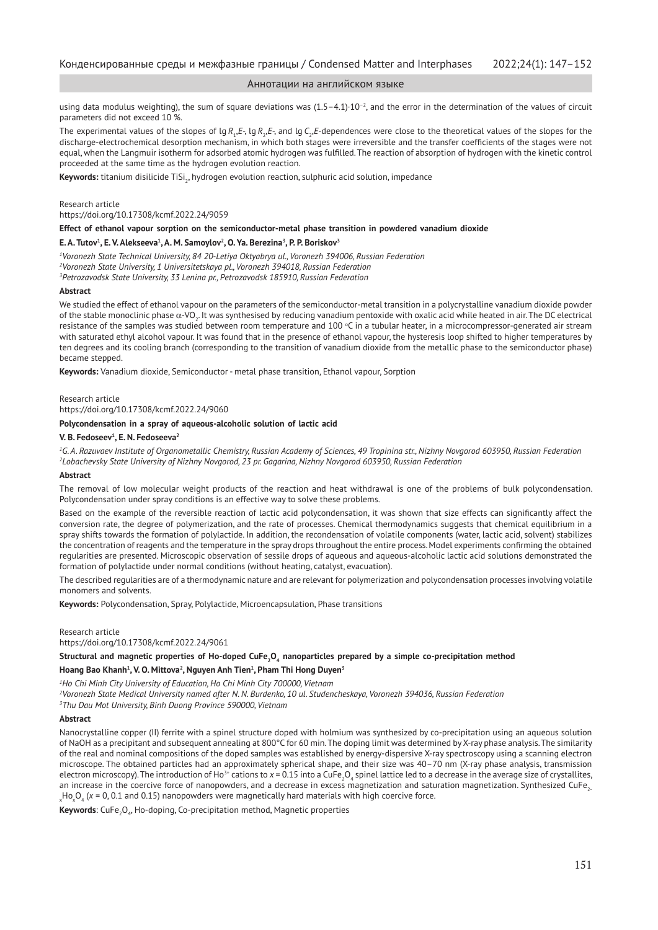using data modulus weighting), the sum of square deviations was  $(1.5-4.1)\cdot10^{-2}$ , and the error in the determination of the values of circuit parameters did not exceed 10 %.

The experimental values of the slopes of lg  $R_{\rm i}$ , $E$ -,  $\lg R_{\rm i}$ , $E$ -, and lg  $C_{\rm i}$ , $E$ -dependences were close to the theoretical values of the slopes for the discharge-electrochemical desorption mechanism, in which both stages were irreversible and the transfer coefficients of the stages were not equal, when the Langmuir isotherm for adsorbed atomic hydrogen was fulfilled. The reaction of absorption of hydrogen with the kinetic control proceeded at the same time as the hydrogen evolution reaction.

**Keywords:** titanium disilicide TiSi<sub>2</sub>, hydrogen evolution reaction, sulphuric acid solution, impedance

Research article

https://doi.org/10.17308/kcmf.2022.24/9059

**Effect of ethanol vapour sorption on the semiconductor-metal phase transition in powdered vanadium dioxide**

#### **E. A. Tutov<sup>1</sup> , E. V. Alekseeva<sup>1</sup> , A. M. Samoylov2 , O. Ya. Berezina<sup>3</sup> , P. P. Boriskov<sup>3</sup>**

*1 Voronezh State Technical University, 84 20-Letiya Oktyabrya ul., Voronezh 394006, Russian Federation*

*2 Voronezh State University, 1 Universitetskaya pl., Voronezh 394018, Russian Federation*

*3 Petrozavodsk State University, 33 Lenina pr., Petrozavodsk 185910, Russian Federation*

#### **Abstract**

We studied the effect of ethanol vapour on the parameters of the semiconductor-metal transition in a polycrystalline vanadium dioxide powder of the stable monoclinic phase  $\alpha$ -VO<sub>2</sub>. It was synthesised by reducing vanadium pentoxide with oxalic acid while heated in air. The DC electrical resistance of the samples was studied between room temperature and 100 °C in a tubular heater, in a microcompressor-generated air stream with saturated ethyl alcohol vapour. It was found that in the presence of ethanol vapour, the hysteresis loop shifted to higher temperatures by ten degrees and its cooling branch (corresponding to the transition of vanadium dioxide from the metallic phase to the semiconductor phase) became stepped.

**Keywords:** Vanadium dioxide, Semiconductor - metal phase transition, Ethanol vapour, Sorption

#### Research article

https://doi.org/10.17308/kcmf.2022.24/9060

## **Polycondensation in a spray of aqueous-alcoholic solution of lactic acid**

#### **V. B. Fedoseev<sup>1</sup> , E. N. Fedoseeva2**

*1 G. A. Razuvaev Institute of Organometallic Chemistry, Russian Academy of Sciences, 49 Tropinina str., Nizhny Novgorod 603950, Russian Federation 2 Lobachevsky State University of Nizhny Novgorod, 23 pr. Gagarina, Nizhny Novgorod 603950, Russian Federation*

#### **Abstract**

The removal of low molecular weight products of the reaction and heat withdrawal is one of the problems of bulk polycondensation. Polycondensation under spray conditions is an effective way to solve these problems.

Based on the example of the reversible reaction of lactic acid polycondensation, it was shown that size effects can significantly affect the conversion rate, the degree of polymerization, and the rate of processes. Chemical thermodynamics suggests that chemical equilibrium in a spray shifts towards the formation of polylactide. In addition, the recondensation of volatile components (water, lactic acid, solvent) stabilizes the concentration of reagents and the temperature in the spray drops throughout the entire process. Model experiments confirming the obtained regularities are presented. Microscopic observation of sessile drops of aqueous and aqueous-alcoholic lactic acid solutions demonstrated the formation of polylactide under normal conditions (without heating, catalyst, evacuation).

The described regularities are of a thermodynamic nature and are relevant for polymerization and polycondensation processes involving volatile monomers and solvents.

**Keywords:** Polycondensation, Spray, Polylactide, Microencapsulation, Phase transitions

Research article

https://doi.org/10.17308/kcmf.2022.24/9061

## Structural and magnetic properties of Ho-doped CuFe<sub>2</sub>O<sub>4</sub> nanoparticles prepared by a simple co-precipitation method

#### **Hoang Bao Khanh<sup>1</sup> , V. O. Mittova2 , Nguyen Anh Tien<sup>1</sup> , Pham Thi Hong Duyen<sup>3</sup>**

*1 Ho Chi Minh City University of Education, Ho Chi Minh City 700000, Vietnam*

*2 Voronezh State Medical University named after N. N. Burdenko, 10 ul. Studencheskaya, Voronezh 394036, Russian Federation 3 Thu Dau Mot University, Binh Duong Province 590000, Vietnam*

## **Abstract**

Nanocrystalline copper (II) ferrite with a spinel structure doped with holmium was synthesized by co-precipitation using an aqueous solution of NaOH as a precipitant and subsequent annealing at 800°C for 60 min. The doping limit was determined by X-ray phase analysis. The similarity of the real and nominal compositions of the doped samples was established by energy-dispersive X-ray spectroscopy using a scanning electron microscope. The obtained particles had an approximately spherical shape, and their size was 40–70 nm (X-ray phase analysis, transmission electron microscopy). The introduction of Ho<sup>3</sup>\* cations to *x* = 0.15 into a CuFe<sub>2</sub>O<sub>4</sub> spinel lattice led to a decrease in the average size of crystallites, an increase in the coercive force of nanopowders, and a decrease in excess magnetization and saturation magnetization. Synthesized CuFe, <sub>x</sub>Ho<sub>x</sub>O<sub>4</sub> (x = 0, 0.1 and 0.15) nanopowders were magnetically hard materials with high coercive force.

**Keywords**: CuFe<sub>2</sub>O<sub>4</sub>, Ho-doping, Co-precipitation method, Magnetic properties